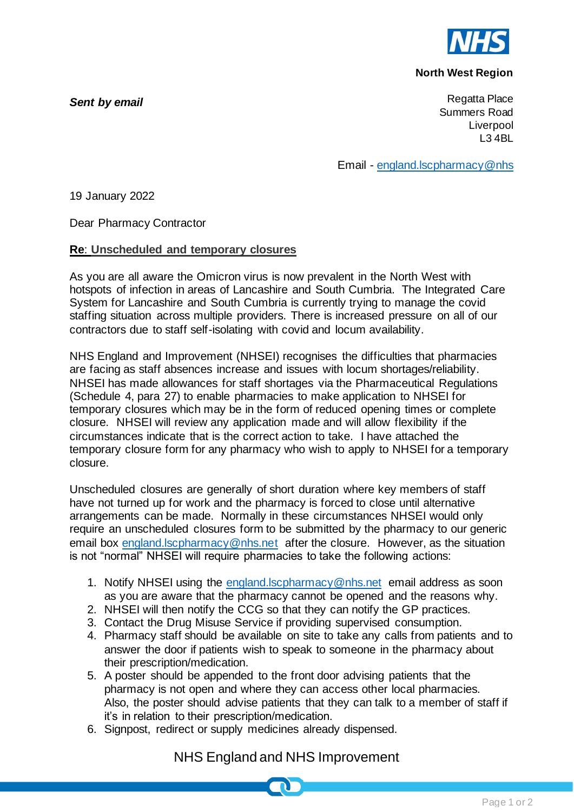

### **North West Region**

*Sent by email*

Regatta Place Summers Road Liverpool L3 4BL

Email - [england.lscpharmacy@nhs](mailto:england.lscpharmacy@nhs)

19 January 2022

Dear Pharmacy Contractor

### **Re**: **Unscheduled and temporary closures**

As you are all aware the Omicron virus is now prevalent in the North West with hotspots of infection in areas of Lancashire and South Cumbria. The Integrated Care System for Lancashire and South Cumbria is currently trying to manage the covid staffing situation across multiple providers. There is increased pressure on all of our contractors due to staff self-isolating with covid and locum availability.

NHS England and Improvement (NHSEI) recognises the difficulties that pharmacies are facing as staff absences increase and issues with locum shortages/reliability. NHSEI has made allowances for staff shortages via the Pharmaceutical Regulations (Schedule 4, para 27) to enable pharmacies to make application to NHSEI for temporary closures which may be in the form of reduced opening times or complete closure. NHSEI will review any application made and will allow flexibility if the circumstances indicate that is the correct action to take. I have attached the temporary closure form for any pharmacy who wish to apply to NHSEI for a temporary closure.

Unscheduled closures are generally of short duration where key members of staff have not turned up for work and the pharmacy is forced to close until alternative arrangements can be made. Normally in these circumstances NHSEI would only require an unscheduled closures form to be submitted by the pharmacy to our generic email box [england.lscpharmacy@nhs.net](mailto:england.lscpharmacy@nhs.net) after the closure. However, as the situation is not "normal" NHSEI will require pharmacies to take the following actions:

- 1. Notify NHSEI using the england. Iscpharmacy@nhs.net email address as soon as you are aware that the pharmacy cannot be opened and the reasons why.
- 2. NHSEI will then notify the CCG so that they can notify the GP practices.
- 3. Contact the Drug Misuse Service if providing supervised consumption.
- 4. Pharmacy staff should be available on site to take any calls from patients and to answer the door if patients wish to speak to someone in the pharmacy about their prescription/medication.
- 5. A poster should be appended to the front door advising patients that the pharmacy is not open and where they can access other local pharmacies. Also, the poster should advise patients that they can talk to a member of staff if it's in relation to their prescription/medication.
- 6. Signpost, redirect or supply medicines already dispensed.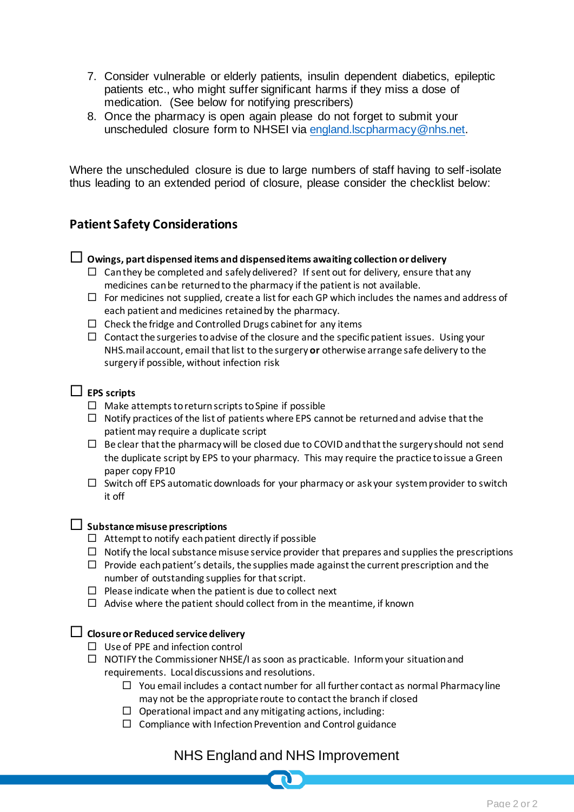- 7. Consider vulnerable or elderly patients, insulin dependent diabetics, epileptic patients etc., who might suffer significant harms if they miss a dose of medication. (See below for notifying prescribers)
- 8. Once the pharmacy is open again please do not forget to submit your unscheduled closure form to NHSEI via [england.lscpharmacy@nhs.net.](mailto:england.lscpharmacy@nhs.net)

Where the unscheduled closure is due to large numbers of staff having to self-isolate thus leading to an extended period of closure, please consider the checklist below:

# **Patient Safety Considerations**

#### **Owings, part dispensed items and dispensed items awaiting collection or delivery**

- $\Box$  Can they be completed and safely delivered? If sent out for delivery, ensure that any medicines can be returned to the pharmacy if the patient is not available.
- $\Box$  For medicines not supplied, create a list for each GP which includes the names and address of each patient and medicines retained by the pharmacy.
- $\Box$  Check the fridge and Controlled Drugs cabinet for any items
- $\Box$  Contact the surgeries to advise of the closure and the specific patient issues. Using your NHS.mail account, email that list to the surgery **or** otherwise arrange safe delivery to the surgery if possible, without infection risk

## **EPS scripts**

- $\Box$  Make attempts to return scripts to Spine if possible
- $\Box$  Notify practices of the list of patients where EPS cannot be returned and advise that the patient may require a duplicate script
- $\Box$  Be clear that the pharmacy will be closed due to COVID and that the surgery should not send the duplicate script by EPS to your pharmacy. This may require the practice to issue a Green paper copy FP10
- $\square$  Switch off EPS automatic downloads for your pharmacy or ask your system provider to switch it off

#### **Substance misuse prescriptions**

- $\Box$  Attempt to notify each patient directly if possible
- $\Box$  Notify the local substance misuse service provider that prepares and supplies the prescriptions
- $\Box$  Provide each patient's details, the supplies made against the current prescription and the number of outstanding supplies for that script.
- $\Box$  Please indicate when the patient is due to collect next
- $\Box$  Advise where the patient should collect from in the meantime, if known

#### **Closure or Reduced service delivery**

- $\Box$  Use of PPE and infection control
- $\Box$  NOTIFY the Commissioner NHSE/I as soon as practicable. Inform your situation and requirements. Local discussions and resolutions.
	- $\Box$  You email includes a contact number for all further contact as normal Pharmacy line may not be the appropriate route to contact the branch if closed
	- $\Box$  Operational impact and any mitigating actions, including:
	- $\Box$  Compliance with Infection Prevention and Control guidance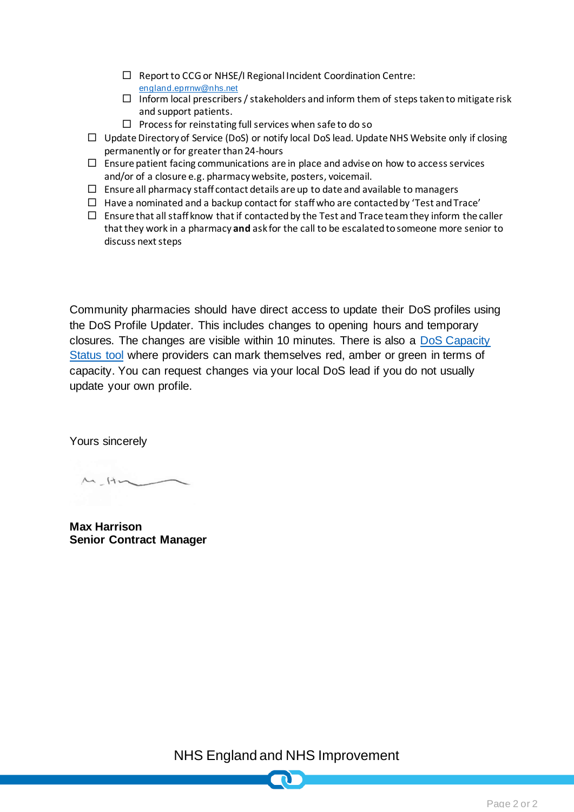- $\Box$  Report to CCG or NHSE/I Regional Incident Coordination Centre: [england.eprrnw@nhs.net](mailto:england.eprrnw@nhs.net)
- $\Box$  Inform local prescribers / stakeholders and inform them of steps taken to mitigate risk and support patients.
- $\Box$  Process for reinstating full services when safe to do so
- $\Box$  Update Directory of Service (DoS) or notify local DoS lead. Update NHS Website only if closing permanently or for greater than 24-hours
- $\Box$  Ensure patient facing communications are in place and advise on how to access services and/or of a closure e.g. pharmacy website, posters, voicemail.
- $\Box$  Ensure all pharmacy staff contact details are up to date and available to managers
- $\Box$  Have a nominated and a backup contact for staff who are contacted by 'Test and Trace'
- $\Box$  Ensure that all staff know that if contacted by the Test and Trace team they inform the caller that they work in a pharmacy **and** ask for the call to be escalated to someone more senior to discuss next steps

Community pharmacies should have direct access to update their DoS profiles using the DoS Profile Updater. This includes changes to opening hours and temporary closures. The changes are visible within 10 minutes. There is also a [DoS Capacity](https://generalpracticebulletin.cmail20.com/t/d-l-ahdkhhl-juyutylre-y/)  [Status tool](https://generalpracticebulletin.cmail20.com/t/d-l-ahdkhhl-juyutylre-y/) where providers can mark themselves red, amber or green in terms of capacity. You can request changes via your local DoS lead if you do not usually update your own profile.

Yours sincerely

 $M_{\bullet}$ Hm

**Max Harrison Senior Contract Manager**